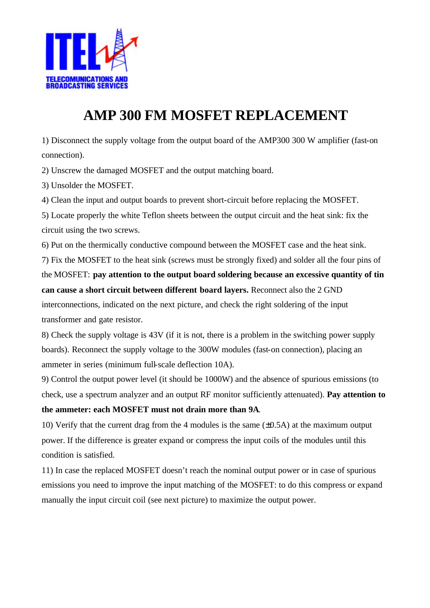

## **AMP 300 FM MOSFET REPLACEMENT**

1) Disconnect the supply voltage from the output board of the AMP300 300 W amplifier (fast-on connection).

2) Unscrew the damaged MOSFET and the output matching board.

3) Unsolder the MOSFET.

4) Clean the input and output boards to prevent short-circuit before replacing the MOSFET.

5) Locate properly the white Teflon sheets between the output circuit and the heat sink: fix the circuit using the two screws.

6) Put on the thermically conductive compound between the MOSFET case and the heat sink.

7) Fix the MOSFET to the heat sink (screws must be strongly fixed) and solder all the four pins of the MOSFET: **pay attention to the output board soldering because an excessive quantity of tin can cause a short circuit between different board layers.** Reconnect also the 2 GND interconnections, indicated on the next picture, and check the right soldering of the input transformer and gate resistor.

8) Check the supply voltage is 43V (if it is not, there is a problem in the switching power supply boards). Reconnect the supply voltage to the 300W modules (fast-on connection), placing an ammeter in series (minimum full-scale deflection 10A).

9) Control the output power level (it should be 1000W) and the absence of spurious emissions (to check, use a spectrum analyzer and an output RF monitor sufficiently attenuated). **Pay attention to the ammeter: each MOSFET must not drain more than 9A**.

10) Verify that the current drag from the 4 modules is the same (±0.5A) at the maximum output power. If the difference is greater expand or compress the input coils of the modules until this condition is satisfied.

11) In case the replaced MOSFET doesn't reach the nominal output power or in case of spurious emissions you need to improve the input matching of the MOSFET: to do this compress or expand manually the input circuit coil (see next picture) to maximize the output power.